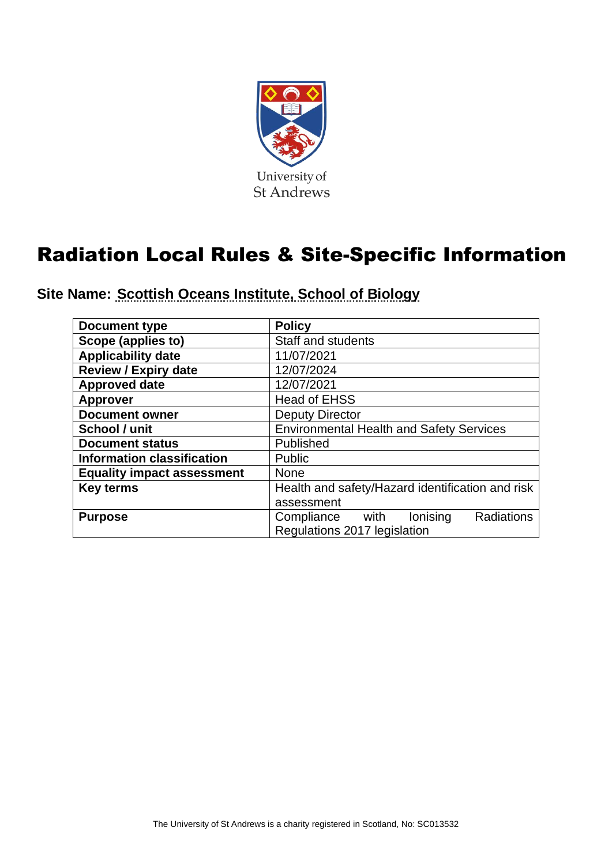

# Radiation Local Rules & Site-Specific Information

**Site Name: Scottish Oceans Institute, School of Biology**

| <b>Document type</b>              | <b>Policy</b>                                    |  |  |
|-----------------------------------|--------------------------------------------------|--|--|
| Scope (applies to)                | Staff and students                               |  |  |
| <b>Applicability date</b>         | 11/07/2021                                       |  |  |
| <b>Review / Expiry date</b>       | 12/07/2024                                       |  |  |
| <b>Approved date</b>              | 12/07/2021                                       |  |  |
| <b>Approver</b>                   | <b>Head of EHSS</b>                              |  |  |
| <b>Document owner</b>             | <b>Deputy Director</b>                           |  |  |
| School / unit                     | <b>Environmental Health and Safety Services</b>  |  |  |
| <b>Document status</b>            | Published                                        |  |  |
| <b>Information classification</b> | Public                                           |  |  |
| <b>Equality impact assessment</b> | None                                             |  |  |
| <b>Key terms</b>                  | Health and safety/Hazard identification and risk |  |  |
|                                   | assessment                                       |  |  |
| <b>Purpose</b>                    | lonising<br>Radiations<br>Compliance with        |  |  |
|                                   | Regulations 2017 legislation                     |  |  |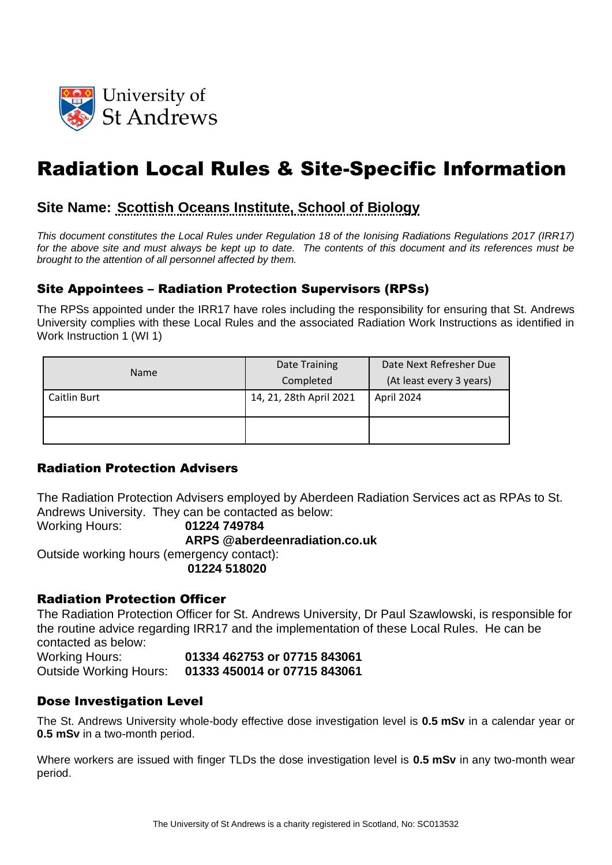

## Radiation Local Rules & Site-Specific Information

## **Site Name: Scottish Oceans Institute, School of Biology**

*This document constitutes the Local Rules under Regulation 18 of the Ionising Radiations Regulations 2017 (IRR17)*  for the above site and must always be kept up to date. The contents of this document and its references must be *brought to the attention of all personnel affected by them.*

#### Site Appointees – Radiation Protection Supervisors (RPSs)

The RPSs appointed under the IRR17 have roles including the responsibility for ensuring that St. Andrews University complies with these Local Rules and the associated Radiation Work Instructions as identified in Work Instruction 1 (WI 1)

| <b>Name</b>  | Date Training           | Date Next Refresher Due  |  |
|--------------|-------------------------|--------------------------|--|
|              | Completed               | (At least every 3 years) |  |
| Caitlin Burt | 14, 21, 28th April 2021 | April 2024               |  |
|              |                         |                          |  |

#### Radiation Protection Advisers

The Radiation Protection Advisers employed by Aberdeen Radiation Services act as RPAs to St. Andrews University. They can be contacted as below:

Working Hours: **01224 749784**

**ARPS @aberdeenradiation.co.uk**

Outside working hours (emergency contact):

**01224 518020**

#### Radiation Protection Officer

The Radiation Protection Officer for St. Andrews University, Dr Paul Szawlowski, is responsible for the routine advice regarding IRR17 and the implementation of these Local Rules. He can be contacted as below:

Working Hours: **01334 462753 or 07715 843061** Outside Working Hours: **01333 450014 or 07715 843061**

#### Dose Investigation Level

The St. Andrews University whole-body effective dose investigation level is **0.5 mSv** in a calendar year or **0.5 mSv** in a two-month period.

Where workers are issued with finger TLDs the dose investigation level is **0.5 mSv** in any two-month wear period.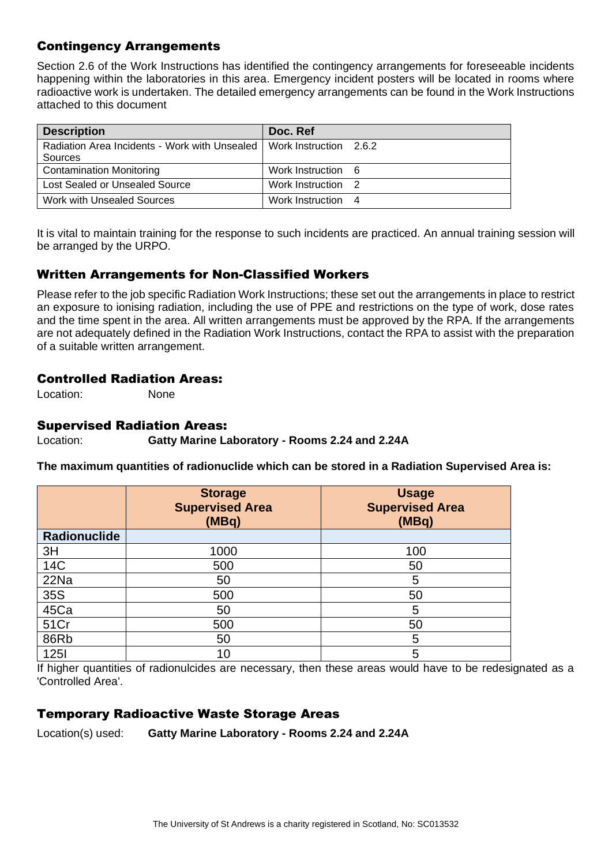## Contingency Arrangements

Section 2.6 of the Work Instructions has identified the contingency arrangements for foreseeable incidents happening within the laboratories in this area. Emergency incident posters will be located in rooms where radioactive work is undertaken. The detailed emergency arrangements can be found in the Work Instructions attached to this document

| <b>Description</b>                            | Doc. Ref               |
|-----------------------------------------------|------------------------|
| Radiation Area Incidents - Work with Unsealed | Work Instruction 2.6.2 |
| Sources                                       |                        |
| <b>Contamination Monitoring</b>               | Work Instruction 6     |
| Lost Sealed or Unsealed Source                | Work Instruction 2     |
| Work with Unsealed Sources                    | Work Instruction 4     |

It is vital to maintain training for the response to such incidents are practiced. An annual training session will be arranged by the URPO.

## Written Arrangements for Non-Classified Workers

Please refer to the job specific Radiation Work Instructions; these set out the arrangements in place to restrict an exposure to ionising radiation, including the use of PPE and restrictions on the type of work, dose rates and the time spent in the area. All written arrangements must be approved by the RPA. If the arrangements are not adequately defined in the Radiation Work Instructions, contact the RPA to assist with the preparation of a suitable written arrangement.

#### Controlled Radiation Areas:

Location: None

#### Supervised Radiation Areas:

Location: **Gatty Marine Laboratory - Rooms 2.24 and 2.24A**

**The maximum quantities of radionuclide which can be stored in a Radiation Supervised Area is:**

|              | <b>Storage</b><br><b>Supervised Area</b><br>(MBq) | <b>Usage</b><br><b>Supervised Area</b><br>(MBq) |
|--------------|---------------------------------------------------|-------------------------------------------------|
| Radionuclide |                                                   |                                                 |
| 3H           | 1000                                              | 100                                             |
| 14C          | 500                                               | 50                                              |
| 22Na         | 50                                                | 5                                               |
| 35S          | 500                                               | 50                                              |
| 45Ca         | 50                                                | 5                                               |
| 51Cr         | 500                                               | 50                                              |
| 86Rb         | 50                                                | 5                                               |
| <b>1251</b>  | 10                                                | 5                                               |

If higher quantities of radionulcides are necessary, then these areas would have to be redesignated as a 'Controlled Area'.

## Temporary Radioactive Waste Storage Areas

Location(s) used: **Gatty Marine Laboratory - Rooms 2.24 and 2.24A**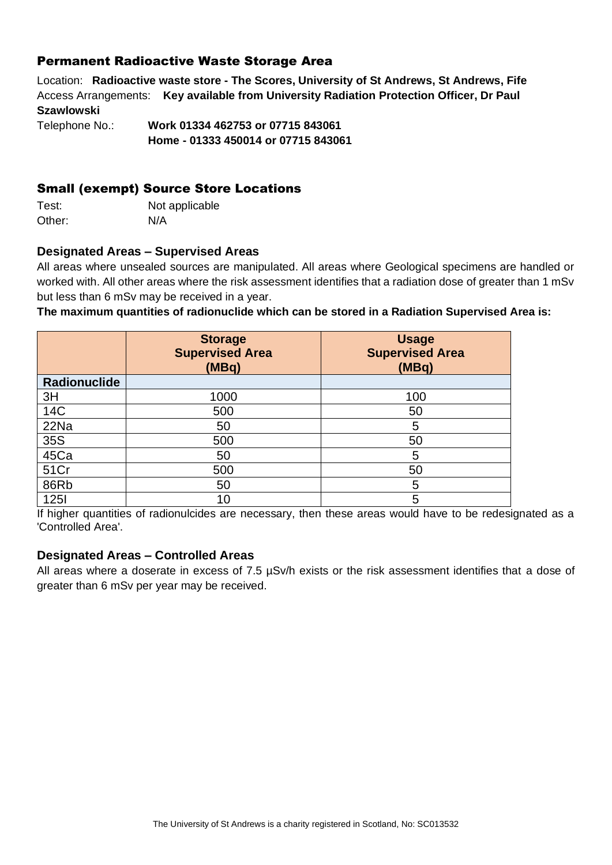## Permanent Radioactive Waste Storage Area

Location: **Radioactive waste store - The Scores, University of St Andrews, St Andrews, Fife** Access Arrangements: **Key available from University Radiation Protection Officer, Dr Paul Szawlowski**

Telephone No.: **Work 01334 462753 or 07715 843061 Home - 01333 450014 or 07715 843061**

### Small (exempt) Source Store Locations

Test: Not applicable Other: N/A

#### **Designated Areas – Supervised Areas**

All areas where unsealed sources are manipulated. All areas where Geological specimens are handled or worked with. All other areas where the risk assessment identifies that a radiation dose of greater than 1 mSv but less than 6 mSv may be received in a year.

**The maximum quantities of radionuclide which can be stored in a Radiation Supervised Area is:**

|                     | <b>Storage</b><br><b>Supervised Area</b><br>(MBq) | <b>Usage</b><br><b>Supervised Area</b><br>(MBq) |
|---------------------|---------------------------------------------------|-------------------------------------------------|
| <b>Radionuclide</b> |                                                   |                                                 |
| 3H                  | 1000                                              | 100                                             |
| <b>14C</b>          | 500                                               | 50                                              |
| 22Na                | 50                                                | 5                                               |
| 35S                 | 500                                               | 50                                              |
| 45Ca                | 50                                                | 5                                               |
| 51Cr                | 500                                               | 50                                              |
| 86Rb                | 50                                                | 5                                               |
| <b>1251</b>         | 10                                                | 5                                               |

If higher quantities of radionulcides are necessary, then these areas would have to be redesignated as a 'Controlled Area'.

#### **Designated Areas – Controlled Areas**

All areas where a doserate in excess of 7.5  $\mu$ Sv/h exists or the risk assessment identifies that a dose of greater than 6 mSv per year may be received.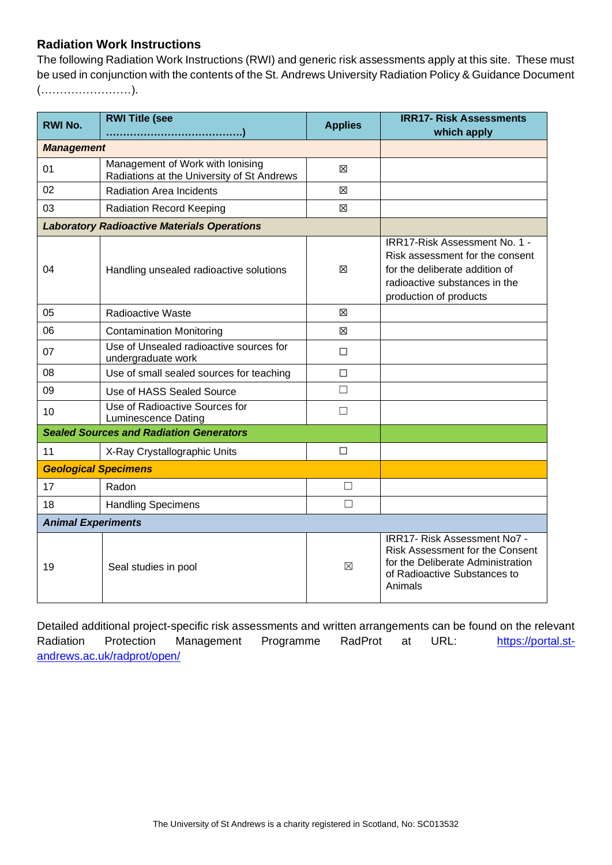### **Radiation Work Instructions**

The following Radiation Work Instructions (RWI) and generic risk assessments apply at this site. These must be used in conjunction with the contents of the St. Andrews University Radiation Policy & Guidance Document (……………………).

| <b>RWI No.</b>              | <b>RWI Title (see</b>                                                          | <b>Applies</b> | <b>IRR17- Risk Assessments</b><br>which apply                                                                                                                 |
|-----------------------------|--------------------------------------------------------------------------------|----------------|---------------------------------------------------------------------------------------------------------------------------------------------------------------|
| <b>Management</b>           |                                                                                |                |                                                                                                                                                               |
| 01                          | Management of Work with Ionising<br>Radiations at the University of St Andrews | ⊠              |                                                                                                                                                               |
| 02                          | <b>Radiation Area Incidents</b>                                                | ⊠              |                                                                                                                                                               |
| 03                          | <b>Radiation Record Keeping</b>                                                | 図              |                                                                                                                                                               |
|                             | <b>Laboratory Radioactive Materials Operations</b>                             |                |                                                                                                                                                               |
| 04                          | Handling unsealed radioactive solutions                                        | ⊠              | IRR17-Risk Assessment No. 1 -<br>Risk assessment for the consent<br>for the deliberate addition of<br>radioactive substances in the<br>production of products |
| 05                          | Radioactive Waste                                                              | 図              |                                                                                                                                                               |
| 06                          | <b>Contamination Monitoring</b>                                                | 区              |                                                                                                                                                               |
| 07                          | Use of Unsealed radioactive sources for<br>undergraduate work                  | $\Box$         |                                                                                                                                                               |
| 08                          | Use of small sealed sources for teaching                                       | $\Box$         |                                                                                                                                                               |
| 09                          | Use of HASS Sealed Source                                                      | $\Box$         |                                                                                                                                                               |
| 10                          | Use of Radioactive Sources for<br><b>Luminescence Dating</b>                   | □              |                                                                                                                                                               |
|                             | <b>Sealed Sources and Radiation Generators</b>                                 |                |                                                                                                                                                               |
| 11                          | X-Ray Crystallographic Units                                                   | □              |                                                                                                                                                               |
| <b>Geological Specimens</b> |                                                                                |                |                                                                                                                                                               |
| 17                          | Radon                                                                          | $\Box$         |                                                                                                                                                               |
| 18                          | <b>Handling Specimens</b>                                                      | $\Box$         |                                                                                                                                                               |
| <b>Animal Experiments</b>   |                                                                                |                |                                                                                                                                                               |
| 19                          | Seal studies in pool                                                           | $\boxtimes$    | IRR17- Risk Assessment No7 -<br>Risk Assessment for the Consent<br>for the Deliberate Administration<br>of Radioactive Substances to<br>Animals               |

Detailed additional project-specific risk assessments and written arrangements can be found on the relevant Radiation Protection Management Programme RadProt at URL: [https://portal.st](https://portal.st-andrews.ac.uk/radprot/open/)[andrews.ac.uk/radprot/open/](https://portal.st-andrews.ac.uk/radprot/open/)